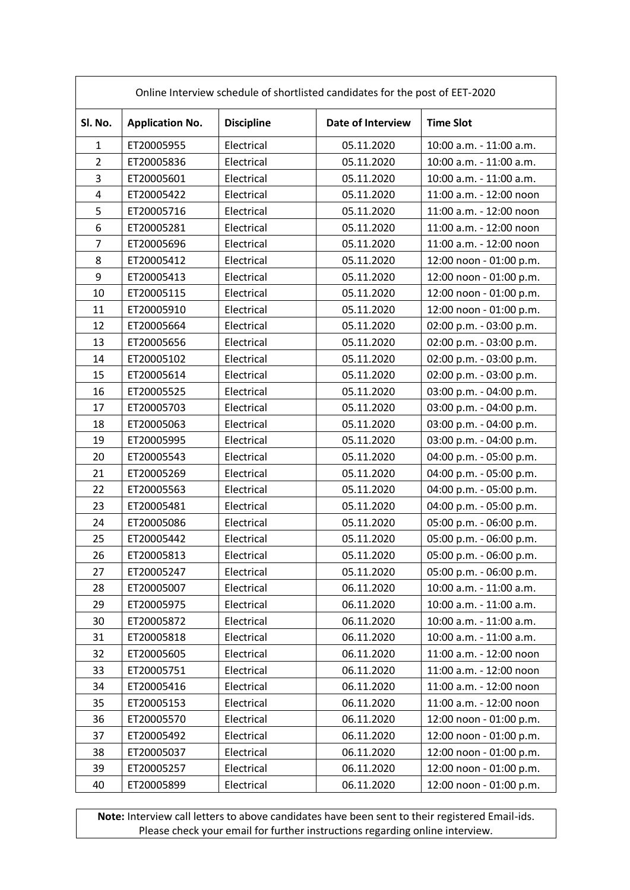| Online Interview schedule of shortlisted candidates for the post of EET-2020 |                        |                   |                   |                         |  |  |
|------------------------------------------------------------------------------|------------------------|-------------------|-------------------|-------------------------|--|--|
| SI. No.                                                                      | <b>Application No.</b> | <b>Discipline</b> | Date of Interview | <b>Time Slot</b>        |  |  |
| $\mathbf{1}$                                                                 | ET20005955             | Electrical        | 05.11.2020        | 10:00 a.m. - 11:00 a.m. |  |  |
| $\overline{2}$                                                               | ET20005836             | Electrical        | 05.11.2020        | 10:00 a.m. - 11:00 a.m. |  |  |
| 3                                                                            | ET20005601             | Electrical        | 05.11.2020        | 10:00 a.m. - 11:00 a.m. |  |  |
| 4                                                                            | ET20005422             | Electrical        | 05.11.2020        | 11:00 a.m. - 12:00 noon |  |  |
| 5                                                                            | ET20005716             | Electrical        | 05.11.2020        | 11:00 a.m. - 12:00 noon |  |  |
| 6                                                                            | ET20005281             | Electrical        | 05.11.2020        | 11:00 a.m. - 12:00 noon |  |  |
| $\overline{7}$                                                               | ET20005696             | Electrical        | 05.11.2020        | 11:00 a.m. - 12:00 noon |  |  |
| 8                                                                            | ET20005412             | Electrical        | 05.11.2020        | 12:00 noon - 01:00 p.m. |  |  |
| 9                                                                            | ET20005413             | Electrical        | 05.11.2020        | 12:00 noon - 01:00 p.m. |  |  |
| 10                                                                           | ET20005115             | Electrical        | 05.11.2020        | 12:00 noon - 01:00 p.m. |  |  |
| 11                                                                           | ET20005910             | Electrical        | 05.11.2020        | 12:00 noon - 01:00 p.m. |  |  |
| 12                                                                           | ET20005664             | Electrical        | 05.11.2020        | 02:00 p.m. - 03:00 p.m. |  |  |
| 13                                                                           | ET20005656             | Electrical        | 05.11.2020        | 02:00 p.m. - 03:00 p.m. |  |  |
| 14                                                                           | ET20005102             | Electrical        | 05.11.2020        | 02:00 p.m. - 03:00 p.m. |  |  |
| 15                                                                           | ET20005614             | Electrical        | 05.11.2020        | 02:00 p.m. - 03:00 p.m. |  |  |
| 16                                                                           | ET20005525             | Electrical        | 05.11.2020        | 03:00 p.m. - 04:00 p.m. |  |  |
| 17                                                                           | ET20005703             | Electrical        | 05.11.2020        | 03:00 p.m. - 04:00 p.m. |  |  |
| 18                                                                           | ET20005063             | Electrical        | 05.11.2020        | 03:00 p.m. - 04:00 p.m. |  |  |
| 19                                                                           | ET20005995             | Electrical        | 05.11.2020        | 03:00 p.m. - 04:00 p.m. |  |  |
| 20                                                                           | ET20005543             | Electrical        | 05.11.2020        | 04:00 p.m. - 05:00 p.m. |  |  |
| 21                                                                           | ET20005269             | Electrical        | 05.11.2020        | 04:00 p.m. - 05:00 p.m. |  |  |
| 22                                                                           | ET20005563             | Electrical        | 05.11.2020        | 04:00 p.m. - 05:00 p.m. |  |  |
| 23                                                                           | ET20005481             | Electrical        | 05.11.2020        | 04:00 p.m. - 05:00 p.m. |  |  |
| 24                                                                           | ET20005086             | Electrical        | 05.11.2020        | 05:00 p.m. - 06:00 p.m. |  |  |
| 25                                                                           | ET20005442             | Electrical        | 05.11.2020        | 05:00 p.m. - 06:00 p.m. |  |  |
| 26                                                                           | ET20005813             | Electrical        | 05.11.2020        | 05:00 p.m. - 06:00 p.m. |  |  |
| 27                                                                           | ET20005247             | Electrical        | 05.11.2020        | 05:00 p.m. - 06:00 p.m. |  |  |
| 28                                                                           | ET20005007             | Electrical        | 06.11.2020        | 10:00 a.m. - 11:00 a.m. |  |  |
| 29                                                                           | ET20005975             | Electrical        | 06.11.2020        | 10:00 a.m. - 11:00 a.m. |  |  |
| 30                                                                           | ET20005872             | Electrical        | 06.11.2020        | 10:00 a.m. - 11:00 a.m. |  |  |
| 31                                                                           | ET20005818             | Electrical        | 06.11.2020        | 10:00 a.m. - 11:00 a.m. |  |  |
| 32                                                                           | ET20005605             | Electrical        | 06.11.2020        | 11:00 a.m. - 12:00 noon |  |  |
| 33                                                                           | ET20005751             | Electrical        | 06.11.2020        | 11:00 a.m. - 12:00 noon |  |  |
| 34                                                                           | ET20005416             | Electrical        | 06.11.2020        | 11:00 a.m. - 12:00 noon |  |  |
| 35                                                                           | ET20005153             | Electrical        | 06.11.2020        | 11:00 a.m. - 12:00 noon |  |  |
| 36                                                                           | ET20005570             | Electrical        | 06.11.2020        | 12:00 noon - 01:00 p.m. |  |  |
| 37                                                                           | ET20005492             | Electrical        | 06.11.2020        | 12:00 noon - 01:00 p.m. |  |  |
| 38                                                                           | ET20005037             | Electrical        | 06.11.2020        | 12:00 noon - 01:00 p.m. |  |  |
| 39                                                                           | ET20005257             | Electrical        | 06.11.2020        | 12:00 noon - 01:00 p.m. |  |  |
| 40                                                                           | ET20005899             | Electrical        | 06.11.2020        | 12:00 noon - 01:00 p.m. |  |  |

**Note:** Interview call letters to above candidates have been sent to their registered Email-ids. Please check your email for further instructions regarding online interview.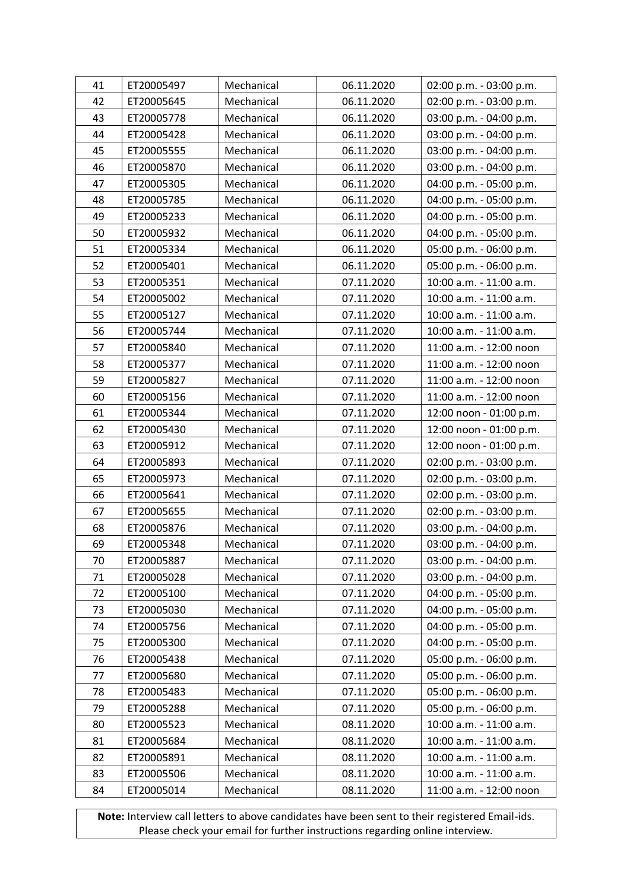| 41 | ET20005497 | Mechanical | 06.11.2020 | 02:00 p.m. - 03:00 p.m. |
|----|------------|------------|------------|-------------------------|
| 42 | ET20005645 | Mechanical | 06.11.2020 | 02:00 p.m. - 03:00 p.m. |
| 43 | ET20005778 | Mechanical | 06.11.2020 | 03:00 p.m. - 04:00 p.m. |
| 44 | ET20005428 | Mechanical | 06.11.2020 | 03:00 p.m. - 04:00 p.m. |
| 45 | ET20005555 | Mechanical | 06.11.2020 | 03:00 p.m. - 04:00 p.m. |
| 46 | ET20005870 | Mechanical | 06.11.2020 | 03:00 p.m. - 04:00 p.m. |
| 47 | ET20005305 | Mechanical | 06.11.2020 | 04:00 p.m. - 05:00 p.m. |
| 48 | ET20005785 | Mechanical | 06.11.2020 | 04:00 p.m. - 05:00 p.m. |
| 49 | ET20005233 | Mechanical | 06.11.2020 | 04:00 p.m. - 05:00 p.m. |
| 50 | ET20005932 | Mechanical | 06.11.2020 | 04:00 p.m. - 05:00 p.m. |
| 51 | ET20005334 | Mechanical | 06.11.2020 | 05:00 p.m. - 06:00 p.m. |
| 52 | ET20005401 | Mechanical | 06.11.2020 | 05:00 p.m. - 06:00 p.m. |
| 53 | ET20005351 | Mechanical | 07.11.2020 | 10:00 a.m. - 11:00 a.m. |
| 54 | ET20005002 | Mechanical | 07.11.2020 | 10:00 a.m. - 11:00 a.m. |
| 55 | ET20005127 | Mechanical | 07.11.2020 | 10:00 a.m. - 11:00 a.m. |
| 56 | ET20005744 | Mechanical | 07.11.2020 | 10:00 a.m. - 11:00 a.m. |
| 57 | ET20005840 | Mechanical | 07.11.2020 | 11:00 a.m. - 12:00 noon |
| 58 | ET20005377 | Mechanical | 07.11.2020 | 11:00 a.m. - 12:00 noon |
| 59 | ET20005827 | Mechanical | 07.11.2020 | 11:00 a.m. - 12:00 noon |
| 60 | ET20005156 | Mechanical | 07.11.2020 | 11:00 a.m. - 12:00 noon |
| 61 | ET20005344 | Mechanical | 07.11.2020 | 12:00 noon - 01:00 p.m. |
| 62 | ET20005430 | Mechanical | 07.11.2020 | 12:00 noon - 01:00 p.m. |
| 63 | ET20005912 | Mechanical | 07.11.2020 | 12:00 noon - 01:00 p.m. |
| 64 | ET20005893 | Mechanical | 07.11.2020 | 02:00 p.m. - 03:00 p.m. |
| 65 | ET20005973 | Mechanical | 07.11.2020 | 02:00 p.m. - 03:00 p.m. |
| 66 | ET20005641 | Mechanical | 07.11.2020 | 02:00 p.m. - 03:00 p.m. |
| 67 | ET20005655 | Mechanical | 07.11.2020 | 02:00 p.m. - 03:00 p.m. |
| 68 | ET20005876 | Mechanical | 07.11.2020 | 03:00 p.m. - 04:00 p.m. |
| 69 | ET20005348 | Mechanical | 07.11.2020 | 03:00 p.m. - 04:00 p.m. |
| 70 | ET20005887 | Mechanical | 07.11.2020 | 03:00 p.m. - 04:00 p.m. |
| 71 | ET20005028 | Mechanical | 07.11.2020 | 03:00 p.m. - 04:00 p.m. |
| 72 | ET20005100 | Mechanical | 07.11.2020 | 04:00 p.m. - 05:00 p.m. |
| 73 | ET20005030 | Mechanical | 07.11.2020 | 04:00 p.m. - 05:00 p.m. |
| 74 | ET20005756 | Mechanical | 07.11.2020 | 04:00 p.m. - 05:00 p.m. |
| 75 | ET20005300 | Mechanical | 07.11.2020 | 04:00 p.m. - 05:00 p.m. |
| 76 | ET20005438 | Mechanical | 07.11.2020 | 05:00 p.m. - 06:00 p.m. |
| 77 | ET20005680 | Mechanical | 07.11.2020 | 05:00 p.m. - 06:00 p.m. |
| 78 | ET20005483 | Mechanical | 07.11.2020 | 05:00 p.m. - 06:00 p.m. |
| 79 | ET20005288 | Mechanical | 07.11.2020 | 05:00 p.m. - 06:00 p.m. |
| 80 | ET20005523 | Mechanical | 08.11.2020 | 10:00 a.m. - 11:00 a.m. |
| 81 | ET20005684 | Mechanical | 08.11.2020 | 10:00 a.m. - 11:00 a.m. |
| 82 | ET20005891 | Mechanical | 08.11.2020 | 10:00 a.m. - 11:00 a.m. |
| 83 | ET20005506 | Mechanical | 08.11.2020 | 10:00 a.m. - 11:00 a.m. |
| 84 | ET20005014 | Mechanical | 08.11.2020 | 11:00 a.m. - 12:00 noon |

**Note:** Interview call letters to above candidates have been sent to their registered Email-ids. Please check your email for further instructions regarding online interview.